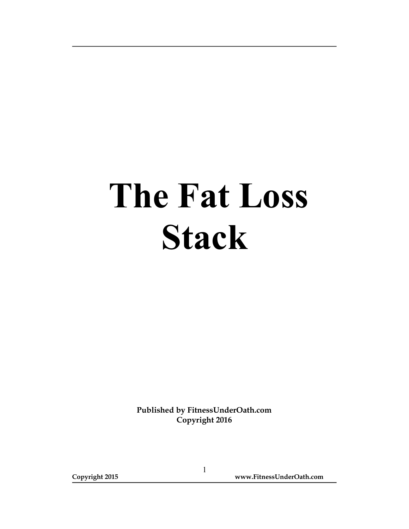## The Fat Loss Stack

Published by FitnessUnderOath.com Copyright 2016

Copyright 2015 www.FitnessUnderOath.com

1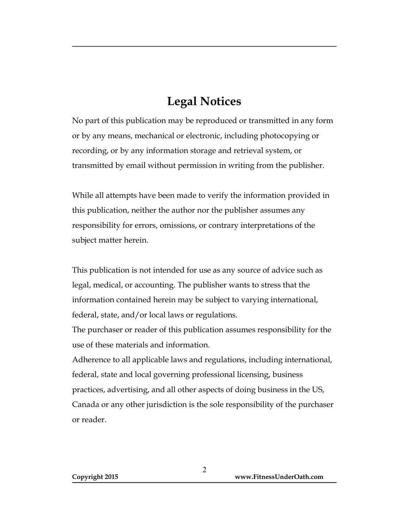## Legal Notices

No part of this publication may be reproduced or transmitted in any form or by any means, mechanical or electronic, including photocopying or recording, or by any information storage and retrieval system, or transmitted by email without permission in writing from the publisher.

While all attempts have been made to verify the information provided in this publication, neither the author nor the publisher assumes any responsibility for errors, omissions, or contrary interpretations of the subject matter herein.

This publication is not intended for use as any source of advice such as legal, medical, or accounting. The publisher wants to stress that the information contained herein may be subject to varying international, federal, state, and/or local laws or regulations.

The purchaser or reader of this publication assumes responsibility for the use of these materials and information.

Adherence to all applicable laws and regulations, including international, federal, state and local governing professional licensing, business practices, advertising, and all other aspects of doing business in the US, Canada or any other jurisdiction is the sole responsibility of the purchaser or reader.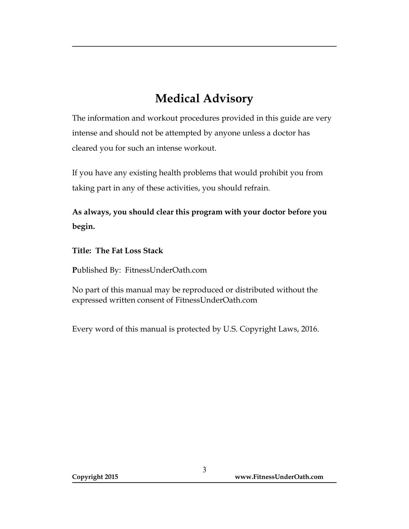## Medical Advisory

The information and workout procedures provided in this guide are very intense and should not be attempted by anyone unless a doctor has cleared you for such an intense workout.

If you have any existing health problems that would prohibit you from taking part in any of these activities, you should refrain.

As always, you should clear this program with your doctor before you begin.

Title: The Fat Loss Stack

Published By: FitnessUnderOath.com

No part of this manual may be reproduced or distributed without the expressed written consent of FitnessUnderOath.com

Every word of this manual is protected by U.S. Copyright Laws, 2016.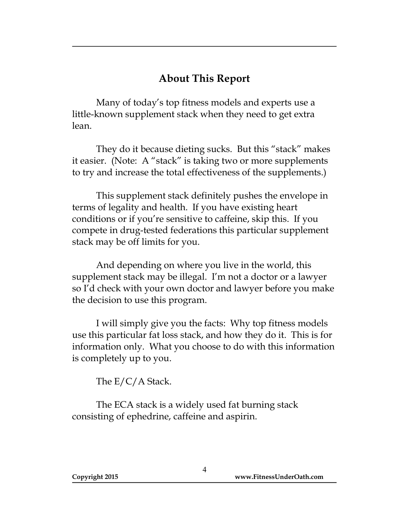## About This Report

 Many of today's top fitness models and experts use a little-known supplement stack when they need to get extra lean.

They do it because dieting sucks. But this "stack" makes it easier. (Note: A "stack" is taking two or more supplements to try and increase the total effectiveness of the supplements.)

This supplement stack definitely pushes the envelope in terms of legality and health. If you have existing heart conditions or if you're sensitive to caffeine, skip this. If you compete in drug-tested federations this particular supplement stack may be off limits for you.

And depending on where you live in the world, this supplement stack may be illegal. I'm not a doctor or a lawyer so I'd check with your own doctor and lawyer before you make the decision to use this program.

I will simply give you the facts: Why top fitness models use this particular fat loss stack, and how they do it. This is for information only. What you choose to do with this information is completely up to you.

The E/C/A Stack.

 The ECA stack is a widely used fat burning stack consisting of ephedrine, caffeine and aspirin.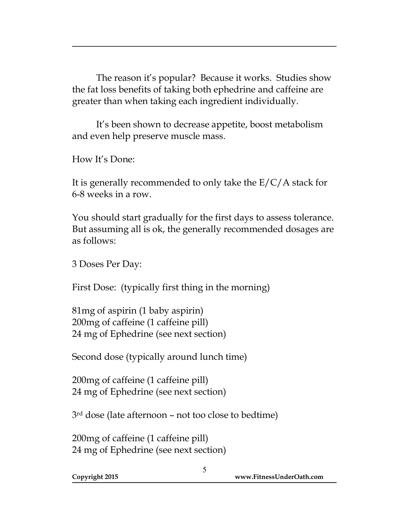The reason it's popular? Because it works. Studies show the fat loss benefits of taking both ephedrine and caffeine are greater than when taking each ingredient individually.

 It's been shown to decrease appetite, boost metabolism and even help preserve muscle mass.

How It's Done:

It is generally recommended to only take the  $E/C/A$  stack for 6-8 weeks in a row.

You should start gradually for the first days to assess tolerance. But assuming all is ok, the generally recommended dosages are as follows:

3 Doses Per Day:

First Dose: (typically first thing in the morning)

81mg of aspirin (1 baby aspirin) 200mg of caffeine (1 caffeine pill) 24 mg of Ephedrine (see next section)

Second dose (typically around lunch time)

200mg of caffeine (1 caffeine pill) 24 mg of Ephedrine (see next section)

3rd dose (late afternoon – not too close to bedtime)

200mg of caffeine (1 caffeine pill) 24 mg of Ephedrine (see next section)